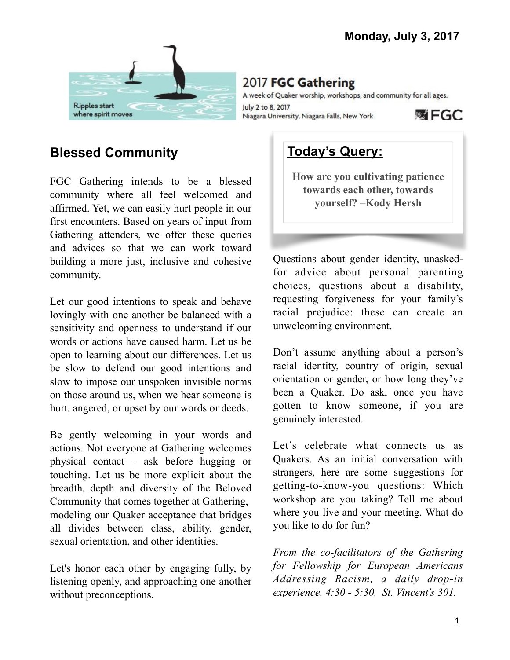

2017 FGC Gathering

A week of Quaker worship, workshops, and community for all ages. July 2 to 8, 2017 **國 FGC** Niagara University, Niagara Falls, New York

# **Blessed Community**

FGC Gathering intends to be a blessed community where all feel welcomed and affirmed. Yet, we can easily hurt people in our first encounters. Based on years of input from Gathering attenders, we offer these queries and advices so that we can work toward building a more just, inclusive and cohesive community.

Let our good intentions to speak and behave lovingly with one another be balanced with a sensitivity and openness to understand if our words or actions have caused harm. Let us be open to learning about our differences. Let us be slow to defend our good intentions and slow to impose our unspoken invisible norms on those around us, when we hear someone is hurt, angered, or upset by our words or deeds.

Be gently welcoming in your words and actions. Not everyone at Gathering welcomes physical contact – ask before hugging or touching. Let us be more explicit about the breadth, depth and diversity of the Beloved Community that comes together at Gathering, modeling our Quaker acceptance that bridges all divides between class, ability, gender, sexual orientation, and other identities.

Let's honor each other by engaging fully, by listening openly, and approaching one another without preconceptions.

# **Today's Query:**

**How are you cultivating patience towards each other, towards yourself? –Kody Hersh**

Questions about gender identity, unaskedfor advice about personal parenting choices, questions about a disability, requesting forgiveness for your family's racial prejudice: these can create an unwelcoming environment.

Don't assume anything about a person's racial identity, country of origin, sexual orientation or gender, or how long they've been a Quaker. Do ask, once you have gotten to know someone, if you are genuinely interested.

Let's celebrate what connects us as Quakers. As an initial conversation with strangers, here are some suggestions for getting-to-know-you questions: Which workshop are you taking? Tell me about where you live and your meeting. What do you like to do for fun?

*From the co-facilitators of the Gathering for Fellowship for European Americans Addressing Racism, a daily drop-in experience. 4:30 - 5:30, St. Vincent's 301.*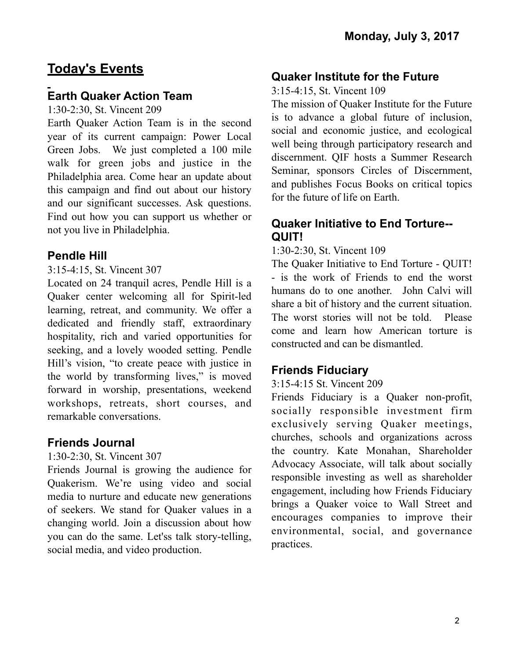# **Today's Events**

### **Earth Quaker Action Team**

1:30-2:30, St. Vincent 209

Earth Quaker Action Team is in the second year of its current campaign: Power Local Green Jobs. We just completed a 100 mile walk for green jobs and justice in the Philadelphia area. Come hear an update about this campaign and find out about our history and our significant successes. Ask questions. Find out how you can support us whether or not you live in Philadelphia.

#### **Pendle Hill**

#### 3:15-4:15, St. Vincent 307

Located on 24 tranquil acres, Pendle Hill is a Quaker center welcoming all for Spirit-led learning, retreat, and community. We offer a dedicated and friendly staff, extraordinary hospitality, rich and varied opportunities for seeking, and a lovely wooded setting. Pendle Hill's vision, "to create peace with justice in the world by transforming lives," is moved forward in worship, presentations, weekend workshops, retreats, short courses, and remarkable conversations.

#### **Friends Journal**

#### 1:30-2:30, St. Vincent 307

Friends Journal is growing the audience for Quakerism. We're using video and social media to nurture and educate new generations of seekers. We stand for Quaker values in a changing world. Join a discussion about how you can do the same. Let'ss talk story-telling, social media, and video production.

#### **Quaker Institute for the Future**

3:15-4:15, St. Vincent 109

The mission of Quaker Institute for the Future is to advance a global future of inclusion, social and economic justice, and ecological well being through participatory research and discernment. QIF hosts a Summer Research Seminar, sponsors Circles of Discernment, and publishes Focus Books on critical topics for the future of life on Earth.

#### **Quaker Initiative to End Torture-- QUIT!**

#### 1:30-2:30, St. Vincent 109

The Quaker Initiative to End Torture - QUIT! - is the work of Friends to end the worst humans do to one another. John Calvi will share a bit of history and the current situation. The worst stories will not be told. Please come and learn how American torture is constructed and can be dismantled.

#### **Friends Fiduciary**

#### 3:15-4:15 St. Vincent 209

Friends Fiduciary is a Quaker non-profit, socially responsible investment firm exclusively serving Quaker meetings, churches, schools and organizations across the country. Kate Monahan, Shareholder Advocacy Associate, will talk about socially responsible investing as well as shareholder engagement, including how Friends Fiduciary brings a Quaker voice to Wall Street and encourages companies to improve their environmental, social, and governance practices.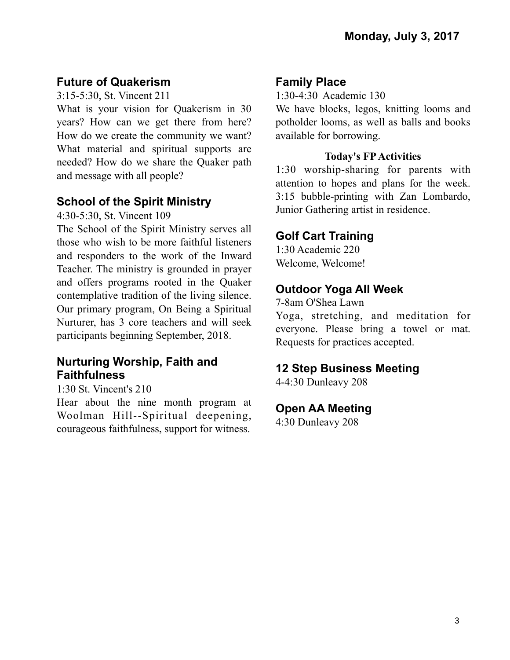## **Future of Quakerism**

3:15-5:30, St. Vincent 211

What is your vision for Quakerism in 30 years? How can we get there from here? How do we create the community we want? What material and spiritual supports are needed? How do we share the Quaker path and message with all people?

# **School of the Spirit Ministry**

4:30-5:30, St. Vincent 109

The School of the Spirit Ministry serves all those who wish to be more faithful listeners and responders to the work of the Inward Teacher. The ministry is grounded in prayer and offers programs rooted in the Quaker contemplative tradition of the living silence. Our primary program, On Being a Spiritual Nurturer, has 3 core teachers and will seek participants beginning September, 2018.

### **Nurturing Worship, Faith and Faithfulness**

1:30 St. Vincent's 210

Hear about the nine month program at Woolman Hill--Spiritual deepening, courageous faithfulness, support for witness.

#### **Family Place**

1:30-4:30 Academic 130

We have blocks, legos, knitting looms and potholder looms, as well as balls and books available for borrowing.

#### **Today's FP Activities**

1:30 worship-sharing for parents with attention to hopes and plans for the week. 3:15 bubble-printing with Zan Lombardo, Junior Gathering artist in residence.

#### **Golf Cart Training**

1:30 Academic 220 Welcome, Welcome!

## **Outdoor Yoga All Week**

7-8am O'Shea Lawn

Yoga, stretching, and meditation for everyone. Please bring a towel or mat. Requests for practices accepted.

### **12 Step Business Meeting**

4-4:30 Dunleavy 208

#### **Open AA Meeting**

4:30 Dunleavy 208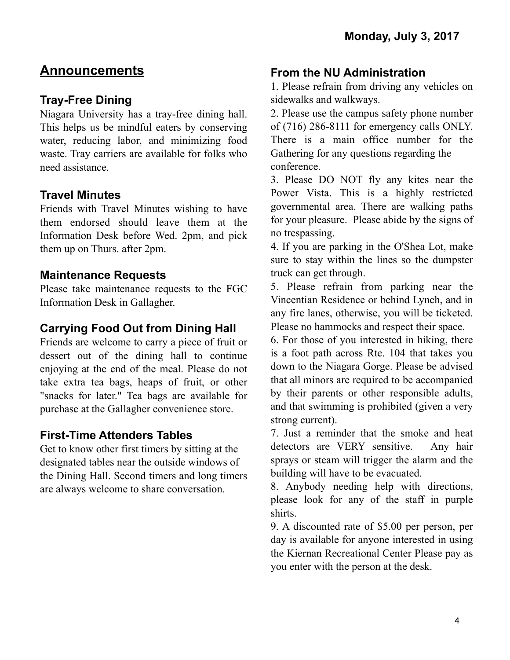# **Announcements**

# **Tray-Free Dining**

Niagara University has a tray-free dining hall. This helps us be mindful eaters by conserving water, reducing labor, and minimizing food waste. Tray carriers are available for folks who need assistance.

#### **Travel Minutes**

Friends with Travel Minutes wishing to have them endorsed should leave them at the Information Desk before Wed. 2pm, and pick them up on Thurs. after 2pm.

#### **Maintenance Requests**

Please take maintenance requests to the FGC Information Desk in Gallagher.

## **Carrying Food Out from Dining Hall**

Friends are welcome to carry a piece of fruit or dessert out of the dining hall to continue enjoying at the end of the meal. Please do not take extra tea bags, heaps of fruit, or other "snacks for later." Tea bags are available for purchase at the Gallagher convenience store.

### **First-Time Attenders Tables**

Get to know other first timers by sitting at the designated tables near the outside windows of the Dining Hall. Second timers and long timers are always welcome to share conversation.

### **From the NU Administration**

1. Please refrain from driving any vehicles on sidewalks and walkways.

2. Please use the campus safety phone number of (716) 286-8111 for emergency calls ONLY. There is a main office number for the Gathering for any questions regarding the conference.

3. Please DO NOT fly any kites near the Power Vista. This is a highly restricted governmental area. There are walking paths for your pleasure. Please abide by the signs of no trespassing.

4. If you are parking in the O'Shea Lot, make sure to stay within the lines so the dumpster truck can get through.

5. Please refrain from parking near the Vincentian Residence or behind Lynch, and in any fire lanes, otherwise, you will be ticketed. Please no hammocks and respect their space.

6. For those of you interested in hiking, there is a foot path across Rte. 104 that takes you down to the Niagara Gorge. Please be advised that all minors are required to be accompanied by their parents or other responsible adults, and that swimming is prohibited (given a very strong current).

7. Just a reminder that the smoke and heat detectors are VERY sensitive. Any hair sprays or steam will trigger the alarm and the building will have to be evacuated.

8. Anybody needing help with directions, please look for any of the staff in purple shirts.

9. A discounted rate of \$5.00 per person, per day is available for anyone interested in using the Kiernan Recreational Center Please pay as you enter with the person at the desk.